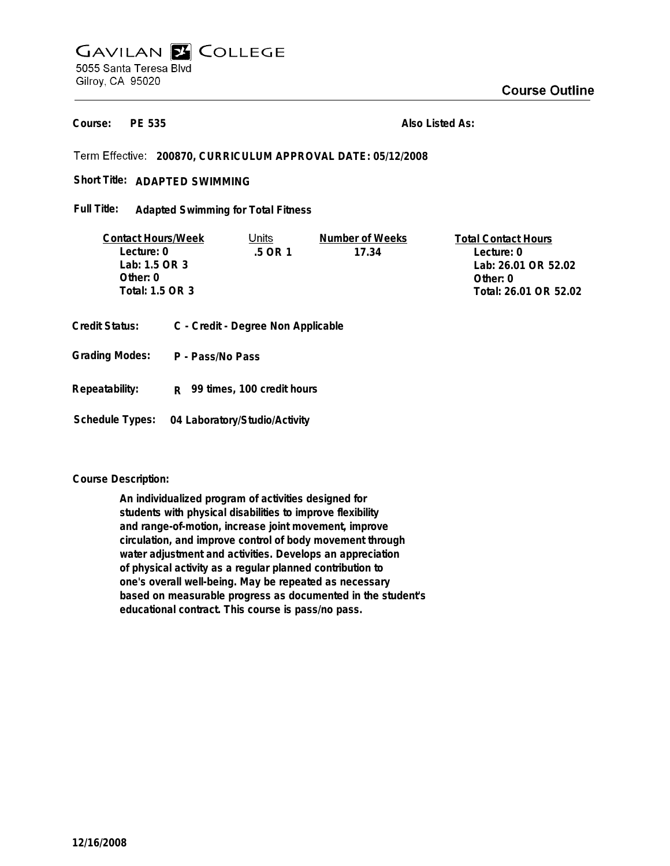**PE 535 Course:**

**Also Listed As:**

# **200870, CURRICULUM APPROVAL DATE: 05/12/2008**

Short Title: ADAPTED SWIMMING

**Adapted Swimming for Total Fitness Full Title:**

| <b>Contact Hours/Week</b> | Units  | Number of Weeks | <b>Total Contact Hours</b> |
|---------------------------|--------|-----------------|----------------------------|
| Lecture: 0                | 5 OR 1 | 17.34           | Lecture: 0                 |
| Lab: 1.5 OR 3             |        |                 | Lab: 26.01 OR 52.02        |
| Other: 0                  |        |                 | Other: 0                   |
| Total: 1.5 OR 3           |        |                 | Total: 26.01 OR 52.02      |
|                           |        |                 |                            |

- **Credit Status: C Credit Degree Non Applicable**
- **P Pass/No Pass Grading Modes:**
- **Repeatability: R 99 times, 100 credit hours**

**Schedule Types: 04 Laboratory/Studio/Activity**

## **Course Description:**

**An individualized program of activities designed for students with physical disabilities to improve flexibility and range-of-motion, increase joint movement, improve circulation, and improve control of body movement through water adjustment and activities. Develops an appreciation of physical activity as a regular planned contribution to one's overall well-being. May be repeated as necessary based on measurable progress as documented in the student's educational contract. This course is pass/no pass.**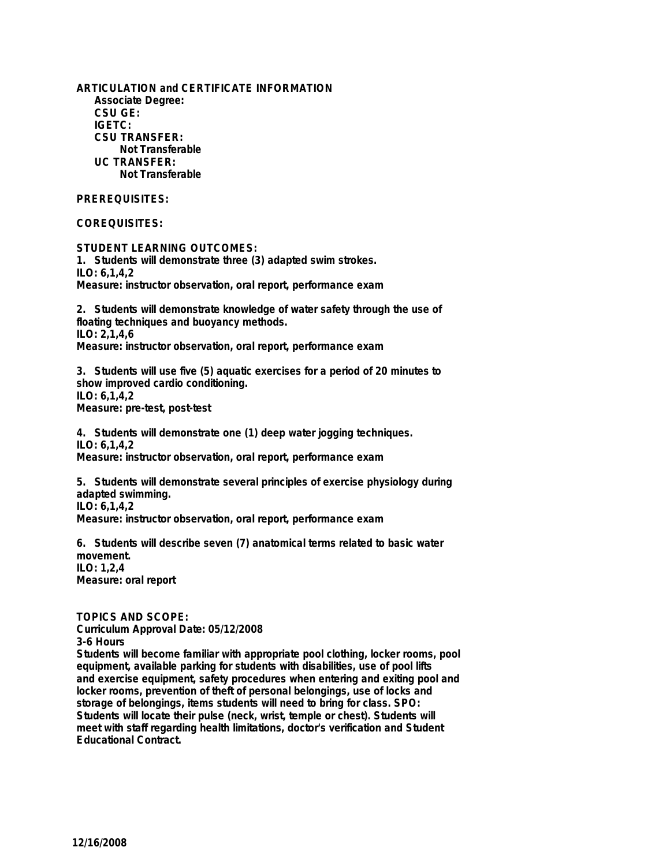**ARTICULATION and CERTIFICATE INFORMATION Associate Degree: CSU GE: IGETC: CSU TRANSFER: Not Transferable UC TRANSFER: Not Transferable**

# **PREREQUISITES:**

## **COREQUISITES:**

**STUDENT LEARNING OUTCOMES: 1. Students will demonstrate three (3) adapted swim strokes. ILO: 6,1,4,2 Measure: instructor observation, oral report, performance exam**

**2. Students will demonstrate knowledge of water safety through the use of floating techniques and buoyancy methods. ILO: 2,1,4,6 Measure: instructor observation, oral report, performance exam**

**3. Students will use five (5) aquatic exercises for a period of 20 minutes to show improved cardio conditioning. ILO: 6,1,4,2 Measure: pre-test, post-test**

**4. Students will demonstrate one (1) deep water jogging techniques. ILO: 6,1,4,2 Measure: instructor observation, oral report, performance exam**

**5. Students will demonstrate several principles of exercise physiology during adapted swimming. ILO: 6,1,4,2 Measure: instructor observation, oral report, performance exam**

**6. Students will describe seven (7) anatomical terms related to basic water movement. ILO: 1,2,4 Measure: oral report**

**TOPICS AND SCOPE:**

**Curriculum Approval Date: 05/12/2008 3-6 Hours Students will become familiar with appropriate pool clothing, locker rooms, pool equipment, available parking for students with disabilities, use of pool lifts and exercise equipment, safety procedures when entering and exiting pool and locker rooms, prevention of theft of personal belongings, use of locks and storage of belongings, items students will need to bring for class. SPO: Students will locate their pulse (neck, wrist, temple or chest). Students will meet with staff regarding health limitations, doctor's verification and Student Educational Contract.**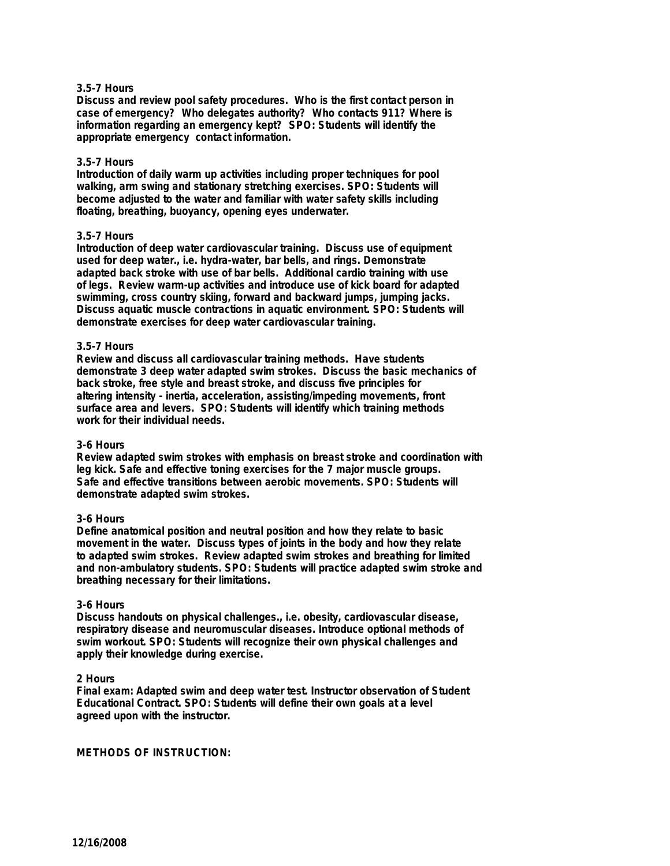### **3.5-7 Hours**

**Discuss and review pool safety procedures. Who is the first contact person in case of emergency? Who delegates authority? Who contacts 911? Where is information regarding an emergency kept? SPO: Students will identify the appropriate emergency contact information.**

#### **3.5-7 Hours**

**Introduction of daily warm up activities including proper techniques for pool walking, arm swing and stationary stretching exercises. SPO: Students will become adjusted to the water and familiar with water safety skills including floating, breathing, buoyancy, opening eyes underwater.**

#### **3.5-7 Hours**

**Introduction of deep water cardiovascular training. Discuss use of equipment used for deep water., i.e. hydra-water, bar bells, and rings. Demonstrate adapted back stroke with use of bar bells. Additional cardio training with use of legs. Review warm-up activities and introduce use of kick board for adapted swimming, cross country skiing, forward and backward jumps, jumping jacks. Discuss aquatic muscle contractions in aquatic environment. SPO: Students will demonstrate exercises for deep water cardiovascular training.**

#### **3.5-7 Hours**

**Review and discuss all cardiovascular training methods. Have students demonstrate 3 deep water adapted swim strokes. Discuss the basic mechanics of back stroke, free style and breast stroke, and discuss five principles for altering intensity - inertia, acceleration, assisting/impeding movements, front surface area and levers. SPO: Students will identify which training methods work for their individual needs.**

#### **3-6 Hours**

**Review adapted swim strokes with emphasis on breast stroke and coordination with leg kick. Safe and effective toning exercises for the 7 major muscle groups. Safe and effective transitions between aerobic movements. SPO: Students will demonstrate adapted swim strokes.**

## **3-6 Hours**

**Define anatomical position and neutral position and how they relate to basic movement in the water. Discuss types of joints in the body and how they relate to adapted swim strokes. Review adapted swim strokes and breathing for limited and non-ambulatory students. SPO: Students will practice adapted swim stroke and breathing necessary for their limitations.**

#### **3-6 Hours**

**Discuss handouts on physical challenges., i.e. obesity, cardiovascular disease, respiratory disease and neuromuscular diseases. Introduce optional methods of swim workout. SPO: Students will recognize their own physical challenges and apply their knowledge during exercise.**

#### **2 Hours**

**Final exam: Adapted swim and deep water test. Instructor observation of Student Educational Contract. SPO: Students will define their own goals at a level agreed upon with the instructor.**

**METHODS OF INSTRUCTION:**